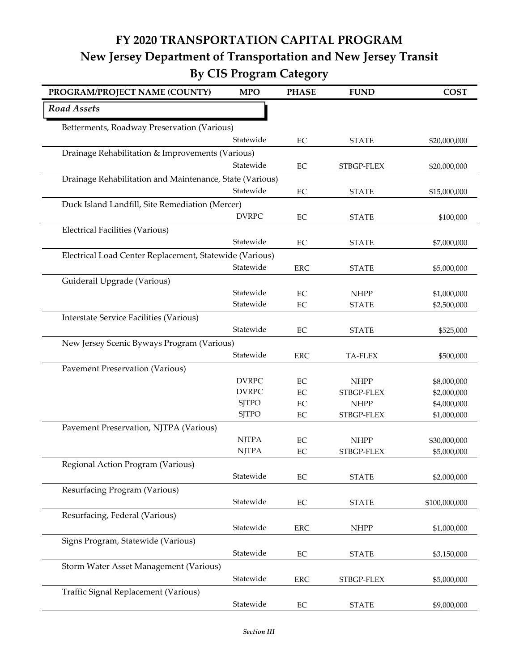## **FY 2020 TRANSPORTATION CAPITAL PROGRAM New Jersey Department of Transportation and New Jersey Transit By CIS Program Category**

| PROGRAM/PROJECT NAME (COUNTY)                            | <b>MPO</b>   | <b>PHASE</b> | <b>FUND</b>  | <b>COST</b>   |  |
|----------------------------------------------------------|--------------|--------------|--------------|---------------|--|
| <b>Road Assets</b>                                       |              |              |              |               |  |
| Betterments, Roadway Preservation (Various)              |              |              |              |               |  |
|                                                          | Statewide    | EC           | <b>STATE</b> | \$20,000,000  |  |
| Drainage Rehabilitation & Improvements (Various)         |              |              |              |               |  |
|                                                          | Statewide    | $\rm EC$     | STBGP-FLEX   | \$20,000,000  |  |
| Drainage Rehabilitation and Maintenance, State (Various) |              |              |              |               |  |
|                                                          | Statewide    | $\rm EC$     | <b>STATE</b> | \$15,000,000  |  |
| Duck Island Landfill, Site Remediation (Mercer)          |              |              |              |               |  |
|                                                          | <b>DVRPC</b> | EC           | <b>STATE</b> | \$100,000     |  |
| <b>Electrical Facilities (Various)</b>                   |              |              |              |               |  |
|                                                          | Statewide    | EC           | <b>STATE</b> | \$7,000,000   |  |
| Electrical Load Center Replacement, Statewide (Various)  |              |              |              |               |  |
|                                                          | Statewide    | <b>ERC</b>   | <b>STATE</b> | \$5,000,000   |  |
| Guiderail Upgrade (Various)                              |              |              |              |               |  |
|                                                          | Statewide    | EC           | <b>NHPP</b>  | \$1,000,000   |  |
|                                                          | Statewide    | EC           | <b>STATE</b> | \$2,500,000   |  |
| <b>Interstate Service Facilities (Various)</b>           |              |              |              |               |  |
|                                                          | Statewide    | $\rm EC$     | <b>STATE</b> | \$525,000     |  |
| New Jersey Scenic Byways Program (Various)               |              |              |              |               |  |
|                                                          | Statewide    | <b>ERC</b>   | TA-FLEX      | \$500,000     |  |
| Pavement Preservation (Various)                          |              |              |              |               |  |
|                                                          | <b>DVRPC</b> | $\rm EC$     | <b>NHPP</b>  | \$8,000,000   |  |
|                                                          | <b>DVRPC</b> | EC           | STBGP-FLEX   | \$2,000,000   |  |
|                                                          | <b>SJTPO</b> | EC           | <b>NHPP</b>  | \$4,000,000   |  |
|                                                          | <b>SJTPO</b> | EC           | STBGP-FLEX   | \$1,000,000   |  |
| Pavement Preservation, NJTPA (Various)                   |              |              |              |               |  |
|                                                          | <b>NJTPA</b> | EC           | <b>NHPP</b>  | \$30,000,000  |  |
|                                                          | <b>NJTPA</b> | EC           | STBGP-FLEX   | \$5,000,000   |  |
| Regional Action Program (Various)                        |              |              |              |               |  |
|                                                          | Statewide    | EC           | <b>STATE</b> | \$2,000,000   |  |
| Resurfacing Program (Various)                            |              |              |              |               |  |
|                                                          | Statewide    | $\rm EC$     | <b>STATE</b> | \$100,000,000 |  |
| Resurfacing, Federal (Various)                           |              |              |              |               |  |
|                                                          | Statewide    | <b>ERC</b>   | <b>NHPP</b>  | \$1,000,000   |  |
| Signs Program, Statewide (Various)                       |              |              |              |               |  |
|                                                          | Statewide    | $\rm EC$     | <b>STATE</b> | \$3,150,000   |  |
| Storm Water Asset Management (Various)                   |              |              |              |               |  |
|                                                          | Statewide    | ${\rm ERC}$  | STBGP-FLEX   | \$5,000,000   |  |
| Traffic Signal Replacement (Various)                     |              |              |              |               |  |
|                                                          | Statewide    | $\rm EC$     | <b>STATE</b> | \$9,000,000   |  |